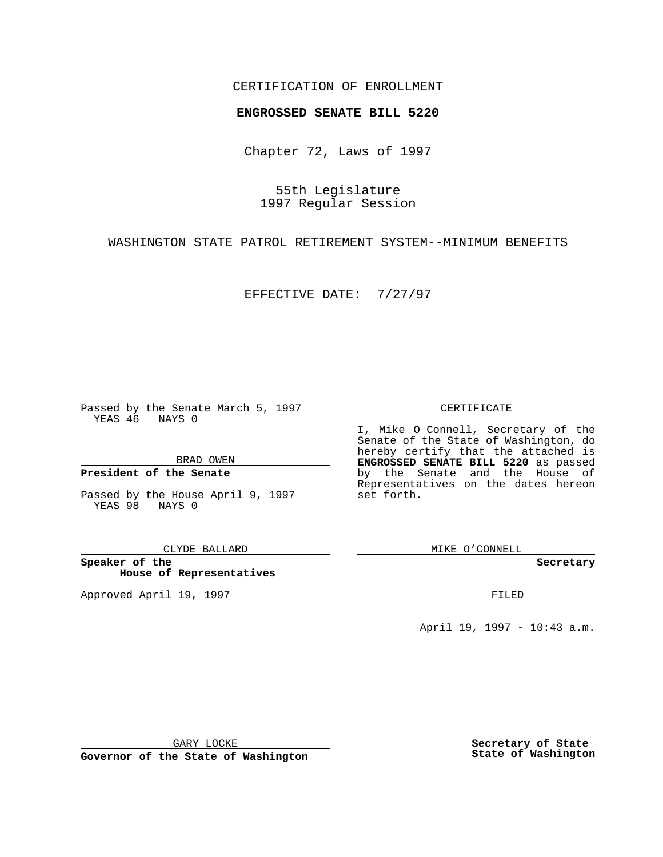### CERTIFICATION OF ENROLLMENT

# **ENGROSSED SENATE BILL 5220**

Chapter 72, Laws of 1997

55th Legislature 1997 Regular Session

WASHINGTON STATE PATROL RETIREMENT SYSTEM--MINIMUM BENEFITS

EFFECTIVE DATE: 7/27/97

Passed by the Senate March 5, 1997 YEAS 46 NAYS 0

BRAD OWEN

### **President of the Senate**

Passed by the House April 9, 1997 YEAS 98 NAYS 0

CLYDE BALLARD

**Speaker of the House of Representatives**

Approved April 19, 1997 **FILED** 

#### CERTIFICATE

I, Mike O Connell, Secretary of the Senate of the State of Washington, do hereby certify that the attached is **ENGROSSED SENATE BILL 5220** as passed by the Senate and the House of Representatives on the dates hereon set forth.

MIKE O'CONNELL

**Secretary**

April 19, 1997 - 10:43 a.m.

GARY LOCKE

**Governor of the State of Washington**

**Secretary of State State of Washington**